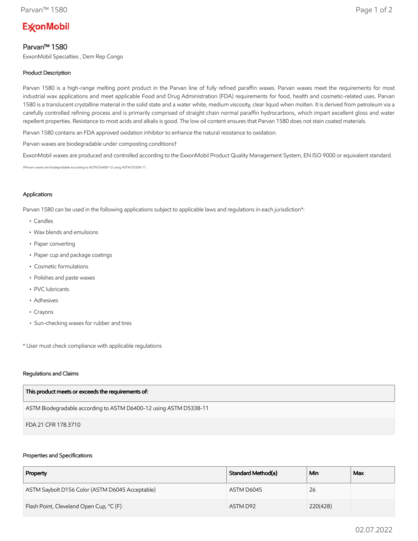# **ExconMobil**

# Parvan™ 1580

ExxonMobil Specialties , Dem Rep Congo

## Product Description

Parvan 1580 is a high-range melting point product in the Parvan line of fully refined paraffin waxes. Parvan waxes meet the requirements for most industrial wax applications and meet applicable Food and Drug Administration (FDA) requirements for food, health and cosmetic-related uses. Parvan 1580 is a translucent crystalline material in the solid state and a water white, medium viscosity, clear liquid when molten. It is derived from petroleum via a carefully controlled refining process and is primarily comprised of straight chain normal paraffin hydrocarbons, which impart excellent gloss and water repellent properties. Resistance to most acids and alkalis is good. The low oil content ensures that Parvan 1580 does not stain coated materials.

Parvan 1580 contains an FDA approved oxidation inhibitor to enhance the natural resistance to oxidation.

Parvan waxes are biodegradable under composting conditions†

ExxonMobil waxes are produced and controlled according to the ExxonMobil Product Quality Management System, EN ISO 9000 or equivalent standard.

†Parvan waxes are biodegradable according to ASTM D6400-12 using ASTM D5338-11.

### Applications

Parvan 1580 can be used in the following applications subject to applicable laws and regulations in each jurisdiction\*:

- Candles
- Wax blends and emulsions
- Paper converting
- Paper cup and package coatings
- Cosmetic formulations
- Polishes and paste waxes
- PVC lubricants
- Adhesives
- Crayons
- Sun-checking waxes for rubber and tires

\* User must check compliance with applicable regulations

#### Regulations and Claims

| This product meets or exceeds the requirements of:                |
|-------------------------------------------------------------------|
| ASTM Biodegradable according to ASTM D6400-12 using ASTM D5338-11 |
| FDA 21 CFR 178.3710                                               |

#### Properties and Specifications

| Property                                        | Standard Method(a) | Min      | Max |
|-------------------------------------------------|--------------------|----------|-----|
| ASTM Saybolt D156 Color (ASTM D6045 Acceptable) | ASTM D6045         | 26       |     |
| Flash Point, Cleveland Open Cup, °C (F)         | ASTM D92           | 220(428) |     |